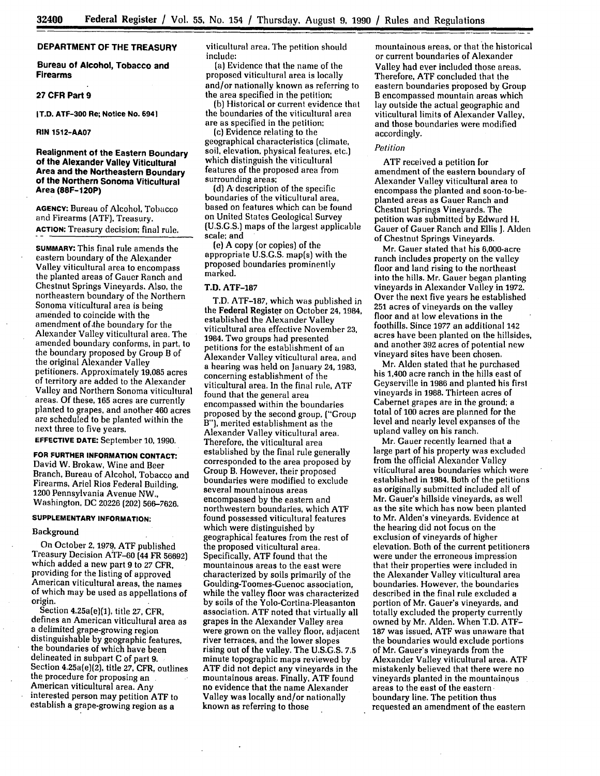# **DEPARTMENT OF THE TREASURY**

**Bureau of Alcohol, Tobacco and Firearms**

## **27 CFR Part 9**

**IT.D. ATF-300 Re; Notice No. 6941**

**RIN 1512-AA07**

# **Realignment of the Eastern Boundary of the Alexander Valley Viticultural Area and the Northeastern Boundary of the Northern Sonoma Viticultural Area (88F-120P)**

**AGENCY:** Bureau of Alcohol, Tobacco and Firearms **(ATF),** Treasury. **ACTION:** Treasury decision; final rule.

**SUMMARY:** This final rule amends the eastern boundary of the Alexander Valley viticultural area to encompass the planted areas of Gauer Ranch and Chestnut Springs Vineyards, Also, the northeastern boundary of the Northern Sonoma viticultural area is being amended to coincide with the amendment of **the** boundary for the Alexander Valley viticultural area. The amended boundary conforms, in part, to the boundary proposed **by** Group B of the original Alexander Valley<br>petitioners. Approximately 19,085 acres of territory are added to the Alexander Valley and Northern Sonoma viticultural areas. **Of** these, **165** acres are currently planted to grapes, and another 460 acres are scheduled to be planted within the next three to five years.

**EFFECTIVE DATE:** September **10, 1990.**

**FOR FURTHER INFORMATION CONTACT:** David W. Brokaw, Wine and Beer Branch, Bureau of Alcohol, Tobacco and Firearms, Ariel Rios Federal Building, 1200 Pennsylvania Avenue NW., Washington, **DC 20226** (202) **566-7626.**

# **SUPPLEMENTARY INFORMATION:**

#### Background

On October 2, **1979, ATF** published Treasury Decision **ATIF-60** (44 FR **56692)** which added a new part **9** to **27** CFR, providing for the listing of approved American viticultural areas, the names of which may be used as appellations of origin.

Section 4.25a(e)(1), title **27,** CFR, defines an American viticultural area as a delimited grape-growing region distinguishable by geographic features, the boundaries of which have been delineated in subpart C of part 9. **,** Section 4.25a(e)(2), title **27,** CFR, outlines the procedure for proposing an American viticultural area. Any interested person may petition ATF to establish a grape-growing region as a

viticultural area. The petition should include:

(a) Evidence that the name of the proposed viticultural area is locally and/or nationally known as referring to the area specified in the petition;

(b) Historical or current evidence that the boundaries of the viticultural area are as specified in the petition;

(c) Evidence relating to the geographical characteristics (climate, soil, elevation, physical features, etc.) which distinguish the viticultural features of the proposed area from surrounding areas;

(d) A description of the specific boundaries of the viticultural area, based on features which can be found on United States Geological Survey (U.S.G.S.) maps of the largest applicable scale; and

(e) A copy (or copies) of the appropriate U.S.G.S. map(s) with the proposed boundaries prominently marked.

# T.D. ATF-187

T.D. ATF-187, which was published in the Federal Register on October 24, 1984, established the Alexander Valley viticultural area effective November 23, 1984. Two groups had presented petitions for the establishment of an Alexander Valley viticultural area, and a hearing was held on January 24, 1983, concerning establishment of the viticultural area. In the final rule, ATF found that the general area encompassed within the boundaries proposed by the second group, ("Group B"), merited establishment as the Alexander Valley viticultural area. Therefore, the viticultural area established by the final rule generally corresponded to the area proposed by Group B. However, their proposed boundaries were modified to exclude several mountainous areas encompassed by the eastern and northwestern boundaries, which ATF found possessed viticultural features which were distinguished by geographical features from the rest of the proposed viticultural area. Specifically, ATF found that the characterized by soils primarily of the Goulding-Toomes-Guenoc association, while the valley floor was characterized by soils of the Yolo-Cortina-Pleasanton association. ATF noted that virtually all were grown on the valley floor, adjacent river terraces, and the lower slopes rising out of the valley. The U.S.G.S. **7,5** minute topographic maps reviewed by ATF did not depict any vineyards in the mountainous areas. Finally, ATF found no evidence that the name Alexander Valley was locally and/or nationally known as referring to those

mountainous areas, or that the historical or current boundaries of Alexander Valley **had** ever included those areas. Therefore, **ATF** concluded that the eastern boundaries proposed **by** Group B encompassed mountain areas which lay outside the actual geographic and viticultural limits of Alexander Valley, and those boundaries were modified accordingly.

#### *Petition*

**ATF** received a petition for amendment of the eastern boundary of Alexander Valley viticultural area to encompass the planted and soon-to-beplanted areas as Gauer Ranch and Chestnut Springs Vineyards. The petition was submitted **by** Edward **H.** Gauer of Gauer Ranch and Ellis **J.** Alden of Chestnut Springs Vineyards.

Mr. Gauer stated that his 6,000-acre ranch includes property on the valley floor and land rising to the northeast into the hills. Mr. Gauer began planting vineyards in Alexander Valley in **1972.** Over the next five years he established **251** acres of vineyards on the valley floor and at low elevations in the foothills. Since **1977** an additional 142 acres have been planted on the hillsides, and another **392** acres of potential new vineyard sites have been chosen.

Mr. Alden stated that he purchased his 1,400 acre ranch in the hills east of Geyserville in 1986 and planted his first vineyards in **1988.** Thirteen acres of Cabernet grapes are in the ground; a total of **100** acres are planned for the level and nearly level expanses of the upland valley on his ranch.

Mr. Gauer recently learned that a large part of his property was excluded from the official Alexander Valley viticultural area boundaries which were established in 1984. Both of the petitions as originally submitted included all of Mr. Gauer's hillside vineyards, as well as the site which has now been planted to Mr. Alden's vineyards. Evidence at the hearing did not focus on the exclusion of vineyards of higher elevation. Both of the current petitioners were under the erroneous impression that their properties were included in the Alexander Valley viticultural area boundaries. However, the boundaries described in the final rule excluded a portion of Mr. Gauer's vineyards, and totally excluded the property currently owned **by** Mr. Alden. When T.D. **ATF-187** was issued, **ATF** was unaware that the boundaries would exclude portions of Mr. Gauer's vineyards from the Alexander Valley viticultural area. **ATF** mistakenly believed that there were no vineyards planted in the mountainous areas to the east of the eastern• boundary line. The petition thus requested an amendment of the eastern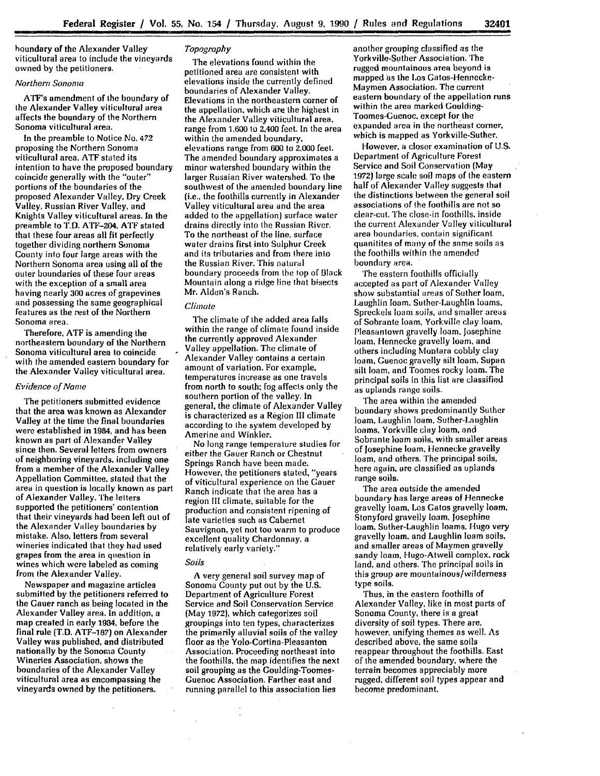<u>I kan ang kalamatan ng kalamatan ng kalamatan ng kalamatan ng kalamatan ng kalamatan ng kalamatan ng kalamatan ng ka</u>

houndary of the Alexander Valley viticultural area to include the vineyards owned by the petitioners.

# Northern Sononia

ATF's amendment of the boundary of the Alexander Valley viticultural area affects the boundary of the Northern Sonoma viticultural area.

In the preamble to Notice No. 472 proposing the Northern Sonoma viticultural area, **ATF** stated its intention to have the proposed boundary coincide generally with the "outer" portions of the boundaries of the proposed Alexander Valley, Dry Creek Valley, Russian River Valley, and Knights Valley viticultural areas. In the preamble to T.D. ATF-204, ATF stated that these four areas all fit perfectly together dividing northern Sonoma County into four large areas with the Northern Sonoma area using all of the outer boundaries of these four areas with the exception of a small area having nearly 300 acres of grapevines and possessing the same geographical features as the rest of the Northern Sonoma area.

Therefore. ATF is amending the northeastern boundary of the Northern Sonoma viticultural area to coincide with the amended eastern boundary for the Alexander Valley viticultural area.

# *Evidence of Name*

The petitioners submitted evidence that the area was known as Alexander Valley at the time the final boundaries were established in 1984, and has been known as part of Alexander Valley since then. Several letters from owners of neighboring vineyards, including one from a member of the Alexander Valley Appellation Committee, stated that the area in question is locally known as part of Alexander Valley. The letters supported the petitioners' contention that their vineyards had been left out of the Alexander Valley boundaries **by** mistake. Also, letters from several wineries indicated that they had used grapes from the area in question in wines which were labeled as coming from the Alexander Valley.

Newspaper and magazine articles submitted **by** the petitioners referred to the Gauer ranch as being located in the Alexander Valley area. In addition, a map created in early 1984, before the final rule (T.D. ATF-187) on Alexander Valley was published, and distributed nationally by the Sonoma County Wineries Association, shows the boundaries of the Alexander Valley viticultural area as encompassing the vineyards owned **by** the petitioners.

# *Topography*

The elevations found within the petitioned area are consistent with elevations inside the currently defined boundaries of Alexander Valley. Elevations in the northeastern corner of the appellation, which are the highest in the Alexander Valley viticultural area, range from **1,600** to 2,400 feet. In the area within the amended boundary. elevations range from 600 to 2,000 feet. The amended boundary approximates a minor watershed boundary within the larger Russian River watershed. To the southwest of the amended boundary line (i.e., the foothills currently in Alexander Valley viticultural area and the area added to the appellation) surface water drains directly into the Russian River. To the northeast of the line, surface water drains first into Sulphur Creek and its tributaries and from there into the Russian River. This natural boundary proceeds from the top of Black Mountain along a ridge line that bisects Mr. Alden's Ranch.

# *Climate*

The climate of the added area falls within the range of climate found inside the currently approved Alexander Valley appellation. The climate of Alexander Valley contains a certain amount of variation. For example, temperatures increase as one travels from north to south: fog affects only the southern portion of the valley. In general, the climate of Alexander Valley is characterized as a Region III climate according to the system developed by Amerine and Winkler.

No long range temperature studies for either the Gauer Ranch or Chestnut Springs Ranch have been made. However, the petitioners stated, "years of viticultural experience on the Gauer Ranch indicate that the area has a region III climate, suitable for the production and consistent ripening of late varieties such as Cabernet Sauvignon, yet not too warm to produce excellent quality Chardonnay, a relatively early variety."

# *Soils*

A very general soil survey map of Sonoma County put out by the U.S. Department of Agriculture Forest Service and Soil Conservation Service (May 1972), which categorizes soil groupings into ten types, characterizes the primarily alluvial soils of the valley floor as the Yolo-Cortina-Pleasanton Association. Proceeding northeast into the foothills, the map identifies the next soil grouping as the Goulding-Toomes-Guenoc Association. Farther east and running parallel to this association lies

another grouping classified as the Yorkville-Suther Association. The rugged mountainous area beyond is mapped as the Los Gatos-Hennecke-Maymen Association. The current eastern boundary of the appellation runs within the area marked Goulding-Toomes-Guenoc. except for the expanded area in the northeast corner, which is mapped as Yorkville-Suther.

However, a closer examination of U.S. Department of Agriculture Forest Service and Soil Conservation (May 1972) large scale soil maps of the eastern half of Alexander Valley suggests that the distinctions between the general soil associations of the foothills are not so clear-cut. The close-in foothills, inside the current Alexander Valley viticultural area boundaries, contain significant quanitites of many of the same soils as the foothills within the amended boundary area.

The eastern foothills officially accepted as part of Alexander Valley show substantial areas of Suther loam, Laughlin loam, Suther-Laughlin loams, Spreckels loam soils, and smaller areas of Sobrante loam, Yorkville clay loam, Pleasantown gravelly loam, Josephine loam, Hennecke gravelly loam, and others including Montara cobbly clay loam, Guenoc gravelly silt loam, Supan silt loam, and Toomes rocky loam. The principal soils in this list are classified as uplands range soils.

The area within the amended boundary shows predominantly Suther loam, Laughlin loam, Suther-Laughlin loams, Yorkville clay loam. and Sobrante loam soils, with smaller areas of Josephine loam, Ilennecke gravelly loam, and others. The principal soils, here again, are classified as uplands range soils.

The area outside the amended boundary has large areas of Hennecke gravelly loam, Los Gatos gravelly loam, Stonyford gravelly loam, Josephine loam, Suther-Laughlin loams, Hugo very gravelly loam, and Laughlin loam soils, and smaller areas of Maymen gravelly sandy loam, Hugo-Atwell complex, rock land, and others. The principal soils in this group are mountainous/wilderness type soils.

Thus, in the eastern foothills of Alexander Valley, like in most parts of Sonoma County, there is a great diversity of soil types. There are, however, unifying themes as well. As described above, the same soils reappear throughout the foothills. East of the amended boundary, where the terrain becomes appreciably more rugged, different soil types appear and become predominant.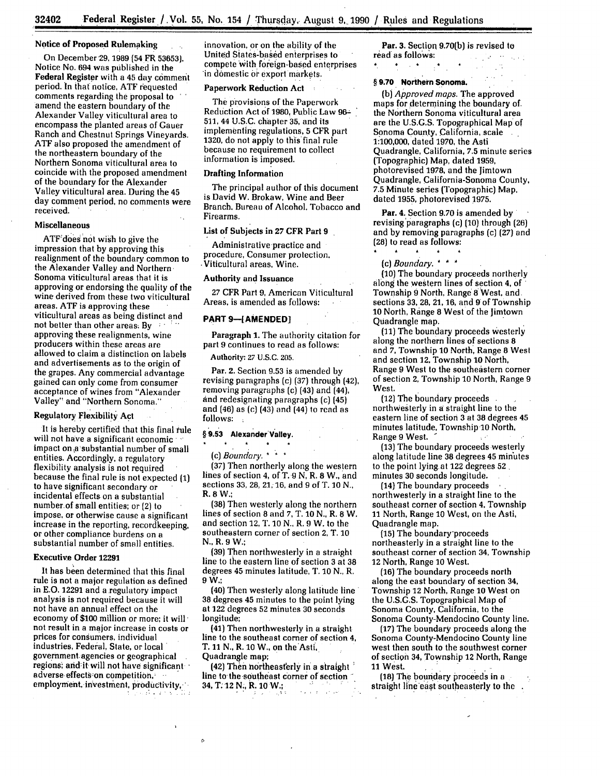## Notice of Proposed Rulemaking

On December,29, **1989 (54** FR **53653).** Notice No. **694** was published in the Federal Register with a 45 day comment period. **In** that notice, **ATF** requested comments regarding the proposal to amend the eastern boundary of the Alexander Valley viticultural area to encompass the planted areas of Gauer Ranch and Chestnut Springs Vineyards. ATF also proposed the amendment of the northeastern boundary of the Northern Sonoma viticultural area to coincide with the proposed amendment of the boundary for the Alexander Valley viticultural area. During the 45 day comment period, no comments were received.

#### Miscellaneous

ATF does not wish to give the impression that by approving this realignment of the boundary common to the Alexander Valley and Northern Sonoma viticultural areas that it is approving or endorsing the quality of the wine derived from these two viticultural areas, ATF is approving these viticultural areas as being distinct and **not better than other areas: By**  $\rightarrow$ approving these realignments, wine producers within these areas are allowed to claim a distinction on labels and advertisements as to the origin of the grapes. Any commercial advantage gained can only come from consumer acceptance of wines from "Alexander Valley" and "Northern Sonoma."

# Regulatory Flexibility Act

It is hereby certified that this final rule will not have a significant economic **-**  impact on a substantial number of small entities. Accordingly, a regulatory flexibility analysis is not required because the final rule is not expected **(1)** to have significant secondary or incidental effects on a substantial number.of small entities; or (2) to impose, or otherwise cause a significant increase in the reporting, recordkeeping, or other compliance burdens on a substantial number of small entities.

#### Executive Order **12291**

It has been determined that this final rule is not a major regulation as defined in **E.O.** 12291 and aregulatory impact analysis is not required because **it** will not have an annual effect on the economy of **\$100** million or more; it will' not result in a major increase in costs or prices for consumers, individual industries, Federal, State, or local government agencies or geographical regions; and-it will not have significant adverse effects on competition, employment, investment, productivity,

innovation, or on the ability of the United Siates-based enterprises to compete with. foreign-based enterprises **in** domestic **or** export markets.

#### Paperwork Reduction Act

The provisions of the Paperwork Redtiction Act of **1980,** Public Law **96-. 511,** 44 **U.S.C.** chapter **35,** and its implementing regulations, **5** CFR part **1320,** do not apply to this'final rule because no requirement to collect information is imposed.

# Drafting Information

The principal author of this document is David W. Brokaw, Wine and Beer Branch. Bureau of Alcohol. Tobacco and Firearms.

# List of Subjects in **27** CFR Part 9

Administrative practice and procedure, Consumer protection. •Viticultural areas, Wine.

# Authority and Issuance

27 CFR Part **9,** American Viticultural Areas, is amended as follows:

#### **PART 9-[AMENDED]**

Paragraph **1.** The authority citation for part **9** continues to read as follows:

**Authority: 27 U.S.C. 205.**

Par. **2. Section 9.53** is amended **by** revising paragraphs (c) **(37)** through (42), removing paragraphs (c) (43) and (44), and redesignating paragraphs (c) (45) and (46) as (c) (43) and (44) to read as follows:

# **§ 9.53 Alexander'Valley.**

 $\rightarrow$ 

*(c) Boundary*

(37) Then northerly along the western lines of section 4, of T. 9 **N,** R. **8** W., and sections **33, 28,** 21, **16,** and **9** of T. **10 N.,** R. **8** W.;

(38) Then westerly along the northern lines of section 8 and **7,** T. **10** N., R. 8 W. and section 12, **1'. 10** N., R. **9** W. to the southeastern corner of section 2, T. **10** N., R. **9** W.;

**(39)** Then northwesterly in a straight line to the eastern line of section **3** at **38** degrees 45 minutes latitude, T. **10 N.,** R. **9 W.;**

(40) Then westerly along latitude line **38** degrees **45** minutes **to** the point lying at **122** degrees **52** minutes **30** seconds longitude;

(41) Then northwesterly in a straight line to the southeast corner of section **4,** T. 11 N., R. 10 W., on the Asti, Quadrangle map;

(42) Then northeasterly in a straight line to the southeast corner of section 34, T. 12 N., R. 10 W.; 34, T. 12 **N.,** R. **10** W.;

 $\circ$ 

Par. **3. Section 9.70(b)** is revised to read as follows: and the company

#### **§ 9.70 Northern Sonoma.**

**(b)** *Approved maps.* **The approved** maps for determining the boundary of. the Northern Sonoma viticultural area are the **U.S.G.S.** Topographical Map of Sonoma County, California, scale 1:100,000, dated **1970,** the Asti Quadrangle, California, **7.5** minute series (Topographic) Map, dated **1959,** photorevised **1978,** and the Jimtown Quadrangle, California-Sonoma County, **7.5** Minute series (Topographic) Map, dated **1955,** photorevised **1975.**

Par. 4. Section 9.70 is amended by revising 'paragraphs (c) **(10)** through **(26)** and by removing paragraphs (c) (27) and (28) **to** read as follows:

(c) *Boundary. \* \**

(10) The boundary proceeds northerly along the western lines of section 4, of Township 9 North, Range **8** West, and. sections 33, **28,** 21, **16,** and 9 of Township **10** North, Range 8 West of the Jimtown Quadrangle map.

(11) The boundary proceeds westerly along the northern lines of sections **8** and **7,** Township 10 North, Range **8** West and section 12, Township **10** North, Range 9 West to the southeastern corner of section 2, Township **10** North, Range 9 West.

(12) The boundary proceeds northwesterly in **a** straight line to the eastern line of section **3** at **38** degrees **45** minutes latitude, Township **10** North, Range **9** West. .

**(13)** The boundary proceeds westerly along latitude line 38 degrees 45 min'utes to the point lying.at 122 degrees **52.** minutes **30** seconds longitude.

(14) The boundary proceeds northwesterly in a straight line to the southeast corner of section 4, Township **11** North, Range **10** West, on the Asti, Quadrangle map.

**(15)** The boundary-proceeds northeasterly in a straight line to the southeast corner of section 34, Township 12 North, Range **10** West.

(16) The boundary proceeds north along the east boundary of section 34, Township 12 North, Range **10** West on the **U.S.G.S.** Topographical Map of Sonoma County, California, to the Sonoma County-Mendocino County line.

**(17)** The boundary proceeds along the Sonoma County-Mendocino County line west then south to the southwest corner of section 34, Township 12 North, Range **11** West.

**(18) The** boundary proceeds in a straight line east southeasterly to the.